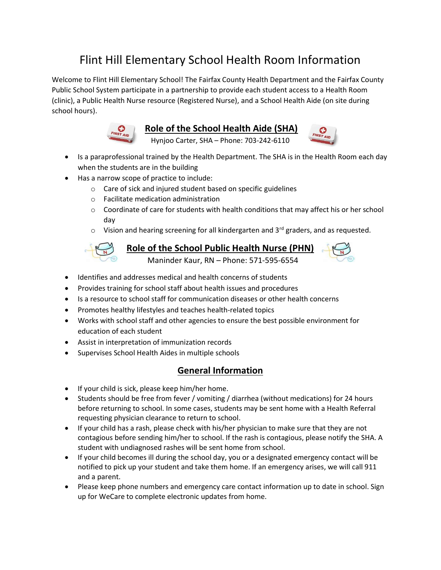## Flint Hill Elementary School Health Room Information

Welcome to Flint Hill Elementary School! The Fairfax County Health Department and the Fairfax County Public School System participate in a partnership to provide each student access to a Health Room (clinic), a Public Health Nurse resource (Registered Nurse), and a School Health Aide (on site during school hours).



Role of the School Health Aide (SHA)

Hynjoo Carter, SHA – Phone: 703-242-6110



- Is a paraprofessional trained by the Health Department. The SHA is in the Health Room each day when the students are in the building
- Has a narrow scope of practice to include:
	- o Care of sick and injured student based on specific guidelines
	- o Facilitate medication administration
	- $\circ$  Coordinate of care for students with health conditions that may affect his or her school day
	- $\circ$  Vision and hearing screening for all kindergarten and 3<sup>rd</sup> graders, and as requested.



## Role of the School Public Health Nurse (PHN)

Maninder Kaur, RN – Phone: 571-595-6554

- Identifies and addresses medical and health concerns of students
- Provides training for school staff about health issues and procedures
- Is a resource to school staff for communication diseases or other health concerns
- Promotes healthy lifestyles and teaches health-related topics
- Works with school staff and other agencies to ensure the best possible environment for education of each student
- Assist in interpretation of immunization records
- Supervises School Health Aides in multiple schools

## General Information

- If your child is sick, please keep him/her home.
- Students should be free from fever / vomiting / diarrhea (without medications) for 24 hours before returning to school. In some cases, students may be sent home with a Health Referral requesting physician clearance to return to school.
- If your child has a rash, please check with his/her physician to make sure that they are not contagious before sending him/her to school. If the rash is contagious, please notify the SHA. A student with undiagnosed rashes will be sent home from school.
- If your child becomes ill during the school day, you or a designated emergency contact will be notified to pick up your student and take them home. If an emergency arises, we will call 911 and a parent.
- Please keep phone numbers and emergency care contact information up to date in school. Sign up for WeCare to complete electronic updates from home.